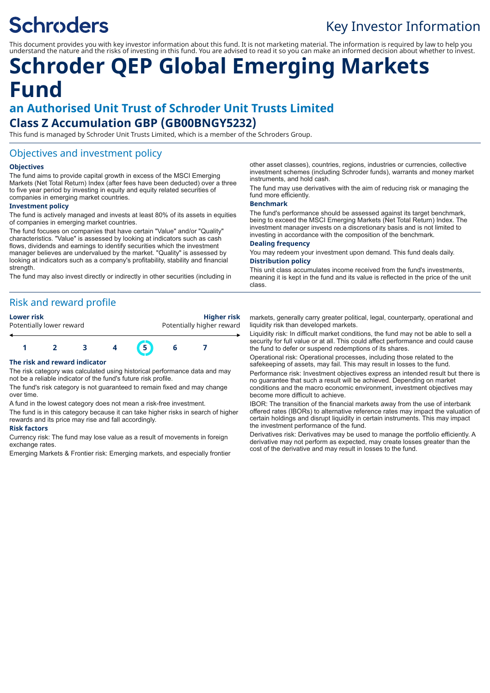# **Schroders**

## Key Investor Information

This document provides you with key investor information about this fund. It is not marketing material. The information is required by law to help you understand the nature and the risks of investing in this fund. You are advised to read it so you can make an informed decision about whether to invest.

# **Schroder QEP Global Emerging Markets Fund**

## **an Authorised Unit Trust of Schroder Unit Trusts Limited Class Z Accumulation GBP (GB00BNGY5232)**

This fund is managed by Schroder Unit Trusts Limited, which is a member of the Schroders Group.

## Objectives and investment policy

#### **Objectives**

The fund aims to provide capital growth in excess of the MSCI Emerging Markets (Net Total Return) Index (after fees have been deducted) over a three to five year period by investing in equity and equity related securities of companies in emerging market countries.

#### **Investment policy**

The fund is actively managed and invests at least 80% of its assets in equities of companies in emerging market countries.

The fund focuses on companies that have certain "Value" and/or "Quality" characteristics. "Value" is assessed by looking at indicators such as cash flows, dividends and earnings to identify securities which the investment manager believes are undervalued by the market. "Quality" is assessed by looking at indicators such as a company's profitability, stability and financial strength

The fund may also invest directly or indirectly in other securities (including in

## Risk and reward profile

**Lower risk Higher risk** Potentially lower reward **Potentially higher reward** 

## **1 2 3 4 5 6 7**

#### **The risk and reward indicator**

The risk category was calculated using historical performance data and may not be a reliable indicator of the fund's future risk profile.

The fund's risk category is not guaranteed to remain fixed and may change over time.

A fund in the lowest category does not mean a risk-free investment.

The fund is in this category because it can take higher risks in search of higher rewards and its price may rise and fall accordingly.

#### **Risk factors**

Currency risk: The fund may lose value as a result of movements in foreign exchange rates.

Emerging Markets & Frontier risk: Emerging markets, and especially frontier

other asset classes), countries, regions, industries or currencies, collective investment schemes (including Schroder funds), warrants and money market instruments, and hold cash.

The fund may use derivatives with the aim of reducing risk or managing the fund more efficiently.

#### **Benchmark**

The fund's performance should be assessed against its target benchmark, being to exceed the MSCI Emerging Markets (Net Total Return) Index. The investment manager invests on a discretionary basis and is not limited to investing in accordance with the composition of the benchmark.

#### **Dealing frequency**

You may redeem your investment upon demand. This fund deals daily. **Distribution policy**

This unit class accumulates income received from the fund's investments, meaning it is kept in the fund and its value is reflected in the price of the unit class.

markets, generally carry greater political, legal, counterparty, operational and liquidity risk than developed markets.

Liquidity risk: In difficult market conditions, the fund may not be able to sell a security for full value or at all. This could affect performance and could cause the fund to defer or suspend redemptions of its shares.

Operational risk: Operational processes, including those related to the safekeeping of assets, may fail. This may result in losses to the fund.

Performance risk: Investment objectives express an intended result but there is no guarantee that such a result will be achieved. Depending on market conditions and the macro economic environment, investment objectives may become more difficult to achieve.

IBOR: The transition of the financial markets away from the use of interbank offered rates (IBORs) to alternative reference rates may impact the valuation of certain holdings and disrupt liquidity in certain instruments. This may impact the investment performance of the fund.

Derivatives risk: Derivatives may be used to manage the portfolio efficiently. A derivative may not perform as expected, may create losses greater than the cost of the derivative and may result in losses to the fund.